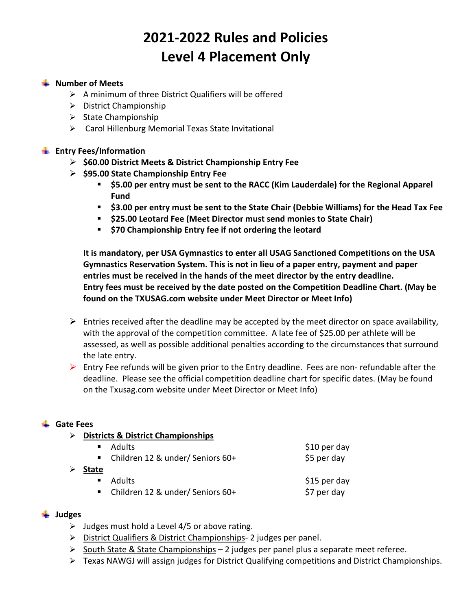# **2021‐2022 Rules and Policies Level 4 Placement Only**

## **Number of Meets**

- $\triangleright$  A minimum of three District Qualifiers will be offered
- $\triangleright$  District Championship
- $\triangleright$  State Championship
- Carol Hillenburg Memorial Texas State Invitational

## **Entry Fees/Information**

- **\$60.00 District Meets & District Championship Entry Fee**
- **\$95.00 State Championship Entry Fee** 
	- **\$5.00 per entry must be sent to the RACC (Kim Lauderdale) for the Regional Apparel Fund**
	- **\$3.00 per entry must be sent to the State Chair (Debbie Williams) for the Head Tax Fee**
	- **\$25.00 Leotard Fee (Meet Director must send monies to State Chair)**
	- **\$70 Championship Entry fee if not ordering the leotard**

**It is mandatory, per USA Gymnastics to enter all USAG Sanctioned Competitions on the USA Gymnastics Reservation System. This is not in lieu of a paper entry, payment and paper entries must be received in the hands of the meet director by the entry deadline. Entry fees must be received by the date posted on the Competition Deadline Chart. (May be found on the TXUSAG.com website under Meet Director or Meet Info)** 

- $\triangleright$  Entries received after the deadline may be accepted by the meet director on space availability, with the approval of the competition committee. A late fee of \$25.00 per athlete will be assessed, as well as possible additional penalties according to the circumstances that surround the late entry.
- Entry Fee refunds will be given prior to the Entry deadline. Fees are non-refundable after the deadline. Please see the official competition deadline chart for specific dates. (May be found on the Txusag.com website under Meet Director or Meet Info)

#### **Gate Fees**

**Districts & District Championships** 

|       | ■ Adults                             | \$10 per day |
|-------|--------------------------------------|--------------|
|       | • Children 12 & under/ Seniors $60+$ | \$5 per day  |
| State |                                      |              |
|       | ■ Adults                             | \$15 per day |

Children 12 & under/ Seniors 60+ \$7 per day

#### **Judges**

- $\triangleright$  Judges must hold a Level 4/5 or above rating.
- ▶ District Qualifiers & District Championships- 2 judges per panel.
- $\triangleright$  South State & State Championships 2 judges per panel plus a separate meet referee.
- Texas NAWGJ will assign judges for District Qualifying competitions and District Championships.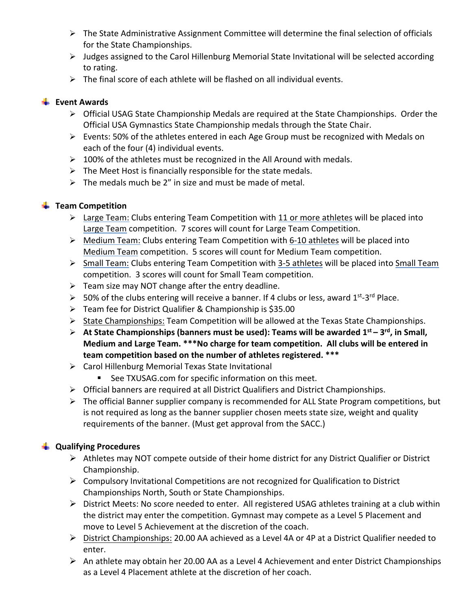- $\triangleright$  The State Administrative Assignment Committee will determine the final selection of officials for the State Championships.
- $\triangleright$  Judges assigned to the Carol Hillenburg Memorial State Invitational will be selected according to rating.
- $\triangleright$  The final score of each athlete will be flashed on all individual events.

## **Event Awards**

- Official USAG State Championship Medals are required at the State Championships. Order the Official USA Gymnastics State Championship medals through the State Chair.
- Events: 50% of the athletes entered in each Age Group must be recognized with Medals on each of the four (4) individual events.
- $\geq 100\%$  of the athletes must be recognized in the All Around with medals.
- $\triangleright$  The Meet Host is financially responsible for the state medals.
- $\triangleright$  The medals much be 2" in size and must be made of metal.

# **Team Competition**

- $\triangleright$  Large Team: Clubs entering Team Competition with 11 or more athletes will be placed into Large Team competition. 7 scores will count for Large Team Competition.
- Medium Team: Clubs entering Team Competition with 6‐10 athletes will be placed into Medium Team competition. 5 scores will count for Medium Team competition.
- Small Team: Clubs entering Team Competition with 3‐5 athletes will be placed into Small Team competition. 3 scores will count for Small Team competition.
- $\triangleright$  Team size may NOT change after the entry deadline.
- $>$  50% of the clubs entering will receive a banner. If 4 clubs or less, award 1<sup>st–3rd</sup> Place.
- Team fee for District Qualifier & Championship is \$35.00
- State Championships: Team Competition will be allowed at the Texas State Championships.
- **At State Championships (banners must be used): Teams will be awarded 1st 3rd, in Small, Medium and Large Team. \*\*\*No charge for team competition. All clubs will be entered in team competition based on the number of athletes registered. \*\*\***
- Carol Hillenburg Memorial Texas State Invitational
	- See TXUSAG.com for specific information on this meet.
- Official banners are required at all District Qualifiers and District Championships.
- $\triangleright$  The official Banner supplier company is recommended for ALL State Program competitions, but is not required as long as the banner supplier chosen meets state size, weight and quality requirements of the banner. (Must get approval from the SACC.)

# **Qualifying Procedures**

- $\triangleright$  Athletes may NOT compete outside of their home district for any District Qualifier or District Championship.
- $\triangleright$  Compulsory Invitational Competitions are not recognized for Qualification to District Championships North, South or State Championships.
- District Meets: No score needed to enter. All registered USAG athletes training at a club within the district may enter the competition. Gymnast may compete as a Level 5 Placement and move to Level 5 Achievement at the discretion of the coach.
- $\triangleright$  District Championships: 20.00 AA achieved as a Level 4A or 4P at a District Qualifier needed to enter.
- $\triangleright$  An athlete may obtain her 20.00 AA as a Level 4 Achievement and enter District Championships as a Level 4 Placement athlete at the discretion of her coach.